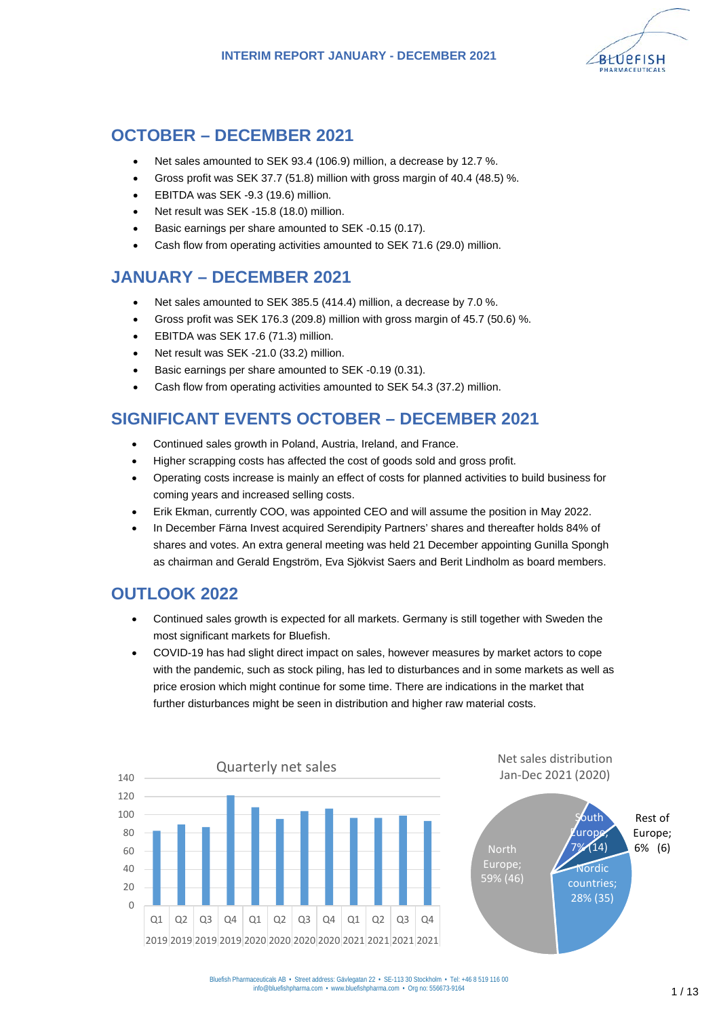

## **OCTOBER – DECEMBER 2021**

- Net sales amounted to SEK 93.4 (106.9) million, a decrease by 12.7 %.
- Gross profit was SEK 37.7 (51.8) million with gross margin of 40.4 (48.5) %.
- EBITDA was SEK -9.3 (19.6) million.
- Net result was SEK -15.8 (18.0) million.
- Basic earnings per share amounted to SEK -0.15 (0.17).
- Cash flow from operating activities amounted to SEK 71.6 (29.0) million.

## **JANUARY – DECEMBER 2021**

- Net sales amounted to SEK 385.5 (414.4) million, a decrease by 7.0 %.
- Gross profit was SEK 176.3 (209.8) million with gross margin of 45.7 (50.6) %.
- EBITDA was SEK 17.6 (71.3) million.
- Net result was SEK -21.0 (33.2) million.
- Basic earnings per share amounted to SEK -0.19 (0.31).
- Cash flow from operating activities amounted to SEK 54.3 (37.2) million.

## **SIGNIFICANT EVENTS OCTOBER – DECEMBER 2021**

- Continued sales growth in Poland, Austria, Ireland, and France.
- Higher scrapping costs has affected the cost of goods sold and gross profit.
- Operating costs increase is mainly an effect of costs for planned activities to build business for coming years and increased selling costs.
- Erik Ekman, currently COO, was appointed CEO and will assume the position in May 2022.
- In December Färna Invest acquired Serendipity Partners' shares and thereafter holds 84% of shares and votes. An extra general meeting was held 21 December appointing Gunilla Spongh as chairman and Gerald Engström, Eva Sjökvist Saers and Berit Lindholm as board members.

## **OUTLOOK 2022**

- Continued sales growth is expected for all markets. Germany is still together with Sweden the most significant markets for Bluefish.
- COVID-19 has had slight direct impact on sales, however measures by market actors to cope with the pandemic, such as stock piling, has led to disturbances and in some markets as well as price erosion which might continue for some time. There are indications in the market that further disturbances might be seen in distribution and higher raw material costs.



Net sales distribution Jan-Dec 2021 (2020)

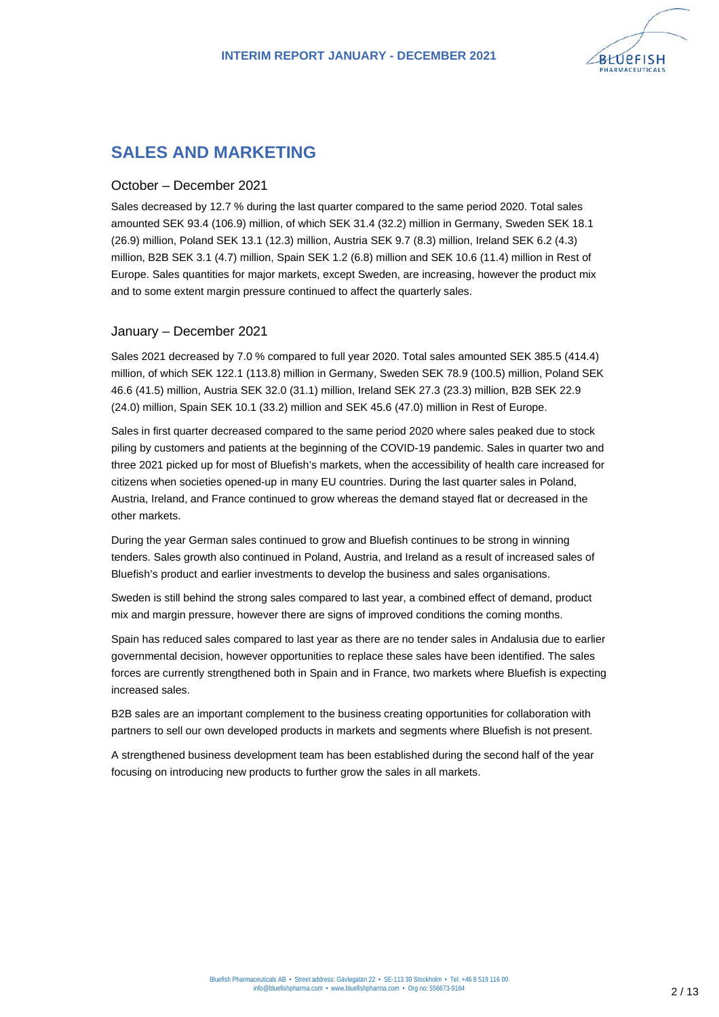

## **SALES AND MARKETING**

### October – December 2021

Sales decreased by 12.7 % during the last quarter compared to the same period 2020. Total sales amounted SEK 93.4 (106.9) million, of which SEK 31.4 (32.2) million in Germany, Sweden SEK 18.1 (26.9) million, Poland SEK 13.1 (12.3) million, Austria SEK 9.7 (8.3) million, Ireland SEK 6.2 (4.3) million, B2B SEK 3.1 (4.7) million, Spain SEK 1.2 (6.8) million and SEK 10.6 (11.4) million in Rest of Europe. Sales quantities for major markets, except Sweden, are increasing, however the product mix and to some extent margin pressure continued to affect the quarterly sales.

### January – December 2021

Sales 2021 decreased by 7.0 % compared to full year 2020. Total sales amounted SEK 385.5 (414.4) million, of which SEK 122.1 (113.8) million in Germany, Sweden SEK 78.9 (100.5) million, Poland SEK 46.6 (41.5) million, Austria SEK 32.0 (31.1) million, Ireland SEK 27.3 (23.3) million, B2B SEK 22.9 (24.0) million, Spain SEK 10.1 (33.2) million and SEK 45.6 (47.0) million in Rest of Europe.

Sales in first quarter decreased compared to the same period 2020 where sales peaked due to stock piling by customers and patients at the beginning of the COVID-19 pandemic. Sales in quarter two and three 2021 picked up for most of Bluefish's markets, when the accessibility of health care increased for citizens when societies opened-up in many EU countries. During the last quarter sales in Poland, Austria, Ireland, and France continued to grow whereas the demand stayed flat or decreased in the other markets.

During the year German sales continued to grow and Bluefish continues to be strong in winning tenders. Sales growth also continued in Poland, Austria, and Ireland as a result of increased sales of Bluefish's product and earlier investments to develop the business and sales organisations.

Sweden is still behind the strong sales compared to last year, a combined effect of demand, product mix and margin pressure, however there are signs of improved conditions the coming months.

Spain has reduced sales compared to last year as there are no tender sales in Andalusia due to earlier governmental decision, however opportunities to replace these sales have been identified. The sales forces are currently strengthened both in Spain and in France, two markets where Bluefish is expecting increased sales.

B2B sales are an important complement to the business creating opportunities for collaboration with partners to sell our own developed products in markets and segments where Bluefish is not present.

A strengthened business development team has been established during the second half of the year focusing on introducing new products to further grow the sales in all markets.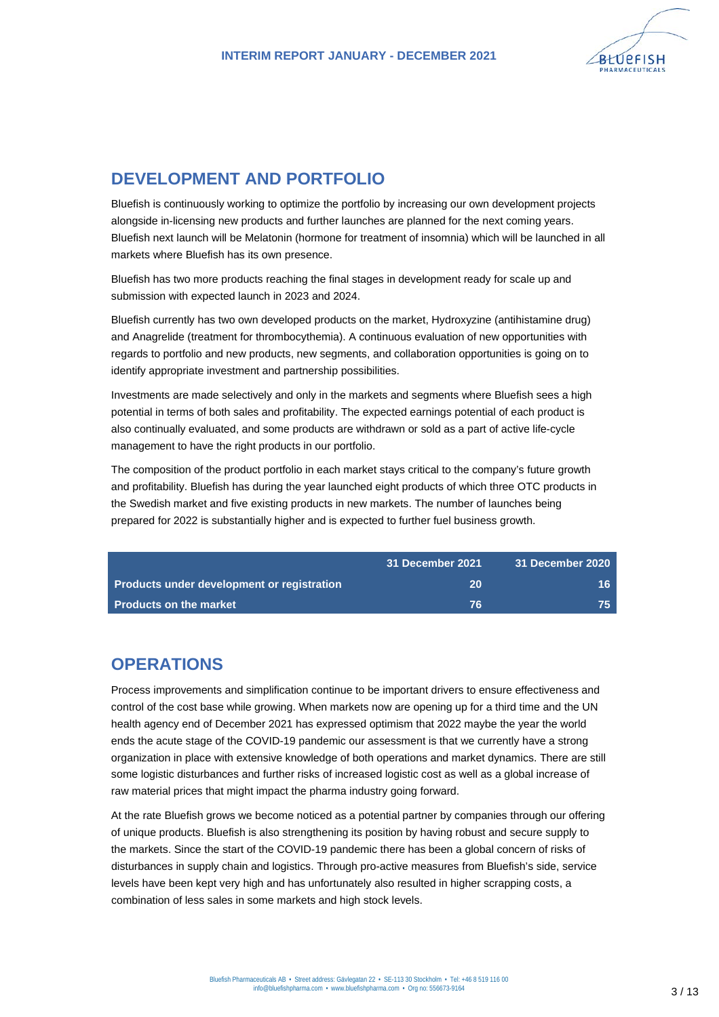

# **DEVELOPMENT AND PORTFOLIO**

Bluefish is continuously working to optimize the portfolio by increasing our own development projects alongside in-licensing new products and further launches are planned for the next coming years. Bluefish next launch will be Melatonin (hormone for treatment of insomnia) which will be launched in all markets where Bluefish has its own presence.

Bluefish has two more products reaching the final stages in development ready for scale up and submission with expected launch in 2023 and 2024.

Bluefish currently has two own developed products on the market, Hydroxyzine (antihistamine drug) and Anagrelide (treatment for thrombocythemia). A continuous evaluation of new opportunities with regards to portfolio and new products, new segments, and collaboration opportunities is going on to identify appropriate investment and partnership possibilities.

Investments are made selectively and only in the markets and segments where Bluefish sees a high potential in terms of both sales and profitability. The expected earnings potential of each product is also continually evaluated, and some products are withdrawn or sold as a part of active life-cycle management to have the right products in our portfolio.

The composition of the product portfolio in each market stays critical to the company's future growth and profitability. Bluefish has during the year launched eight products of which three OTC products in the Swedish market and five existing products in new markets. The number of launches being prepared for 2022 is substantially higher and is expected to further fuel business growth.

|                                            | 31 December 2021 | 31 December 2020 |
|--------------------------------------------|------------------|------------------|
| Products under development or registration | 20               | 16.              |
| <b>Products on the market</b>              | -76              | 75.              |

## **OPERATIONS**

Process improvements and simplification continue to be important drivers to ensure effectiveness and control of the cost base while growing. When markets now are opening up for a third time and the UN health agency end of December 2021 has expressed optimism that 2022 maybe the year the world ends the acute stage of the COVID-19 pandemic our assessment is that we currently have a strong organization in place with extensive knowledge of both operations and market dynamics. There are still some logistic disturbances and further risks of increased logistic cost as well as a global increase of raw material prices that might impact the pharma industry going forward.

At the rate Bluefish grows we become noticed as a potential partner by companies through our offering of unique products. Bluefish is also strengthening its position by having robust and secure supply to the markets. Since the start of the COVID-19 pandemic there has been a global concern of risks of disturbances in supply chain and logistics. Through pro-active measures from Bluefish's side, service levels have been kept very high and has unfortunately also resulted in higher scrapping costs, a combination of less sales in some markets and high stock levels.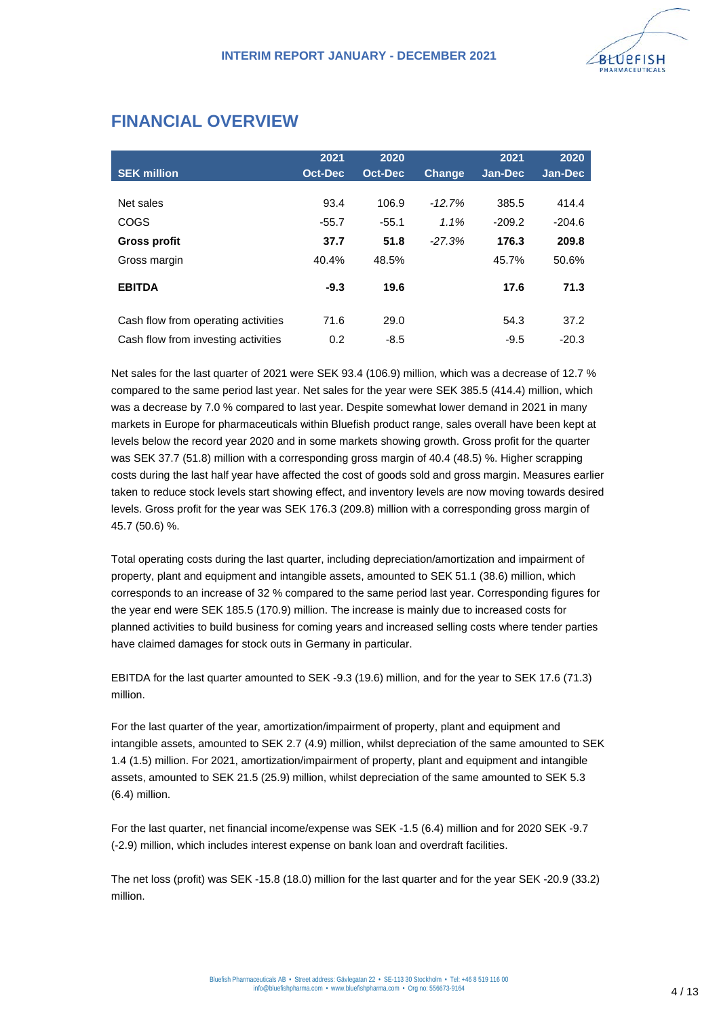

## **FINANCIAL OVERVIEW**

|                                     | 2021           | 2020           |               | 2021     | 2020           |
|-------------------------------------|----------------|----------------|---------------|----------|----------------|
| <b>SEK million</b>                  | <b>Oct-Dec</b> | <b>Oct-Dec</b> | <b>Change</b> | Jan-Dec  | <b>Jan-Dec</b> |
|                                     |                |                |               |          |                |
| Net sales                           | 93.4           | 106.9          | $-12.7%$      | 385.5    | 414.4          |
| COGS                                | $-55.7$        | $-55.1$        | 1.1%          | $-209.2$ | $-204.6$       |
| Gross profit                        | 37.7           | 51.8           | $-27.3%$      | 176.3    | 209.8          |
| Gross margin                        | 40.4%          | 48.5%          |               | 45.7%    | 50.6%          |
| <b>EBITDA</b>                       | $-9.3$         | 19.6           |               | 17.6     | 71.3           |
| Cash flow from operating activities | 71.6           | 29.0           |               | 54.3     | 37.2           |
| Cash flow from investing activities | 0.2            | $-8.5$         |               | $-9.5$   | $-20.3$        |

Net sales for the last quarter of 2021 were SEK 93.4 (106.9) million, which was a decrease of 12.7 % compared to the same period last year. Net sales for the year were SEK 385.5 (414.4) million, which was a decrease by 7.0 % compared to last year. Despite somewhat lower demand in 2021 in many markets in Europe for pharmaceuticals within Bluefish product range, sales overall have been kept at levels below the record year 2020 and in some markets showing growth. Gross profit for the quarter was SEK 37.7 (51.8) million with a corresponding gross margin of 40.4 (48.5) %. Higher scrapping costs during the last half year have affected the cost of goods sold and gross margin. Measures earlier taken to reduce stock levels start showing effect, and inventory levels are now moving towards desired levels. Gross profit for the year was SEK 176.3 (209.8) million with a corresponding gross margin of 45.7 (50.6) %.

Total operating costs during the last quarter, including depreciation/amortization and impairment of property, plant and equipment and intangible assets, amounted to SEK 51.1 (38.6) million, which corresponds to an increase of 32 % compared to the same period last year. Corresponding figures for the year end were SEK 185.5 (170.9) million. The increase is mainly due to increased costs for planned activities to build business for coming years and increased selling costs where tender parties have claimed damages for stock outs in Germany in particular.

EBITDA for the last quarter amounted to SEK -9.3 (19.6) million, and for the year to SEK 17.6 (71.3) million.

For the last quarter of the year, amortization/impairment of property, plant and equipment and intangible assets, amounted to SEK 2.7 (4.9) million, whilst depreciation of the same amounted to SEK 1.4 (1.5) million. For 2021, amortization/impairment of property, plant and equipment and intangible assets, amounted to SEK 21.5 (25.9) million, whilst depreciation of the same amounted to SEK 5.3 (6.4) million.

For the last quarter, net financial income/expense was SEK -1.5 (6.4) million and for 2020 SEK -9.7 (-2.9) million, which includes interest expense on bank loan and overdraft facilities.

The net loss (profit) was SEK -15.8 (18.0) million for the last quarter and for the year SEK -20.9 (33.2) million.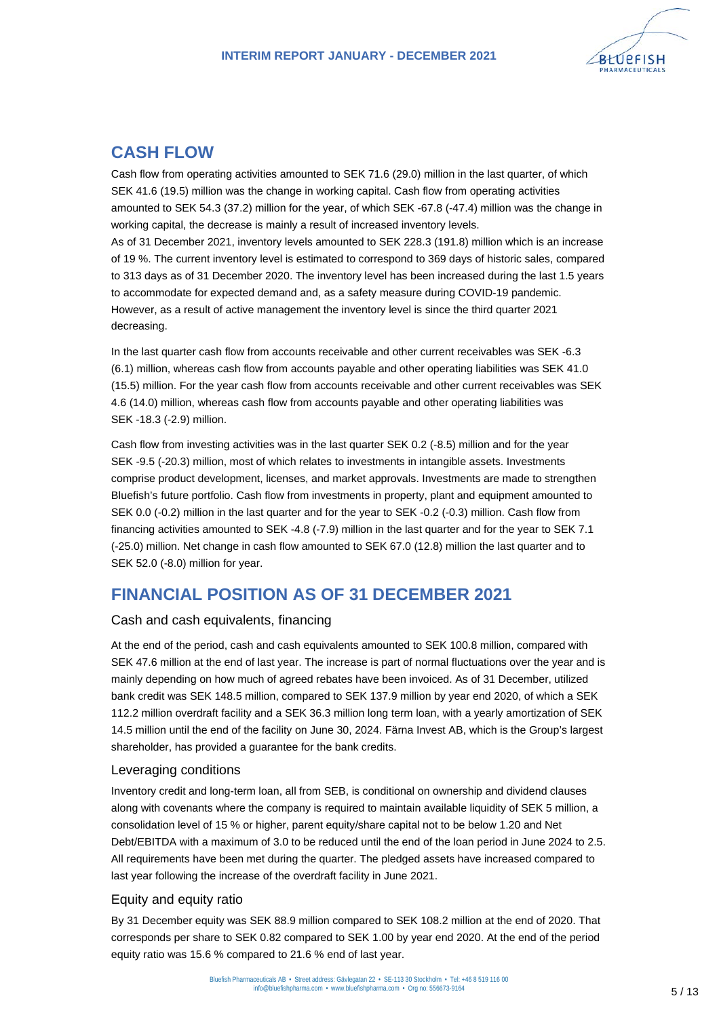

## **CASH FLOW**

Cash flow from operating activities amounted to SEK 71.6 (29.0) million in the last quarter, of which SEK 41.6 (19.5) million was the change in working capital. Cash flow from operating activities amounted to SEK 54.3 (37.2) million for the year, of which SEK -67.8 (-47.4) million was the change in working capital, the decrease is mainly a result of increased inventory levels. As of 31 December 2021, inventory levels amounted to SEK 228.3 (191.8) million which is an increase of 19 %. The current inventory level is estimated to correspond to 369 days of historic sales, compared to 313 days as of 31 December 2020. The inventory level has been increased during the last 1.5 years

to accommodate for expected demand and, as a safety measure during COVID-19 pandemic. However, as a result of active management the inventory level is since the third quarter 2021 decreasing.

In the last quarter cash flow from accounts receivable and other current receivables was SEK -6.3 (6.1) million, whereas cash flow from accounts payable and other operating liabilities was SEK 41.0 (15.5) million. For the year cash flow from accounts receivable and other current receivables was SEK 4.6 (14.0) million, whereas cash flow from accounts payable and other operating liabilities was SEK -18.3 (-2.9) million.

Cash flow from investing activities was in the last quarter SEK 0.2 (-8.5) million and for the year SEK -9.5 (-20.3) million, most of which relates to investments in intangible assets. Investments comprise product development, licenses, and market approvals. Investments are made to strengthen Bluefish's future portfolio. Cash flow from investments in property, plant and equipment amounted to SEK 0.0 (-0.2) million in the last quarter and for the year to SEK -0.2 (-0.3) million. Cash flow from financing activities amounted to SEK -4.8 (-7.9) million in the last quarter and for the year to SEK 7.1 (-25.0) million. Net change in cash flow amounted to SEK 67.0 (12.8) million the last quarter and to SEK 52.0 (-8.0) million for year.

## **FINANCIAL POSITION AS OF 31 DECEMBER 2021**

### Cash and cash equivalents, financing

At the end of the period, cash and cash equivalents amounted to SEK 100.8 million, compared with SEK 47.6 million at the end of last year. The increase is part of normal fluctuations over the year and is mainly depending on how much of agreed rebates have been invoiced. As of 31 December, utilized bank credit was SEK 148.5 million, compared to SEK 137.9 million by year end 2020, of which a SEK 112.2 million overdraft facility and a SEK 36.3 million long term loan, with a yearly amortization of SEK 14.5 million until the end of the facility on June 30, 2024. Färna Invest AB, which is the Group's largest shareholder, has provided a guarantee for the bank credits.

### Leveraging conditions

Inventory credit and long-term loan, all from SEB, is conditional on ownership and dividend clauses along with covenants where the company is required to maintain available liquidity of SEK 5 million, a consolidation level of 15 % or higher, parent equity/share capital not to be below 1.20 and Net Debt/EBITDA with a maximum of 3.0 to be reduced until the end of the loan period in June 2024 to 2.5. All requirements have been met during the quarter. The pledged assets have increased compared to last year following the increase of the overdraft facility in June 2021.

### Equity and equity ratio

By 31 December equity was SEK 88.9 million compared to SEK 108.2 million at the end of 2020. That corresponds per share to SEK 0.82 compared to SEK 1.00 by year end 2020. At the end of the period equity ratio was 15.6 % compared to 21.6 % end of last year.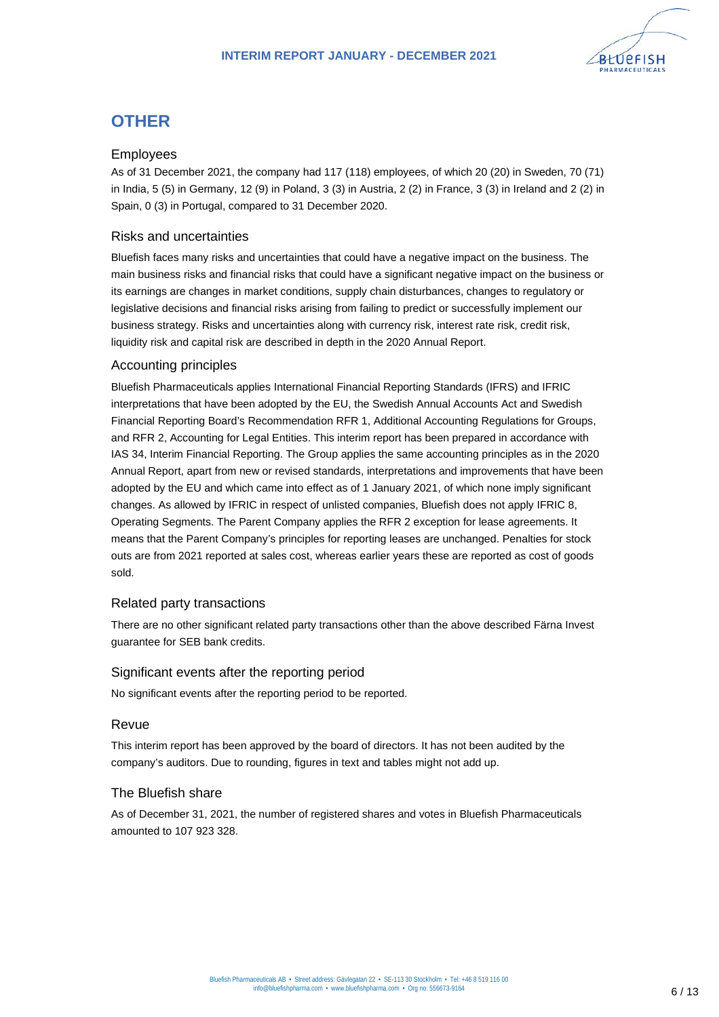

# **OTHER**

### Employees

As of 31 December 2021, the company had 117 (118) employees, of which 20 (20) in Sweden, 70 (71) in India, 5 (5) in Germany, 12 (9) in Poland, 3 (3) in Austria, 2 (2) in France, 3 (3) in Ireland and 2 (2) in Spain, 0 (3) in Portugal, compared to 31 December 2020.

### Risks and uncertainties

Bluefish faces many risks and uncertainties that could have a negative impact on the business. The main business risks and financial risks that could have a significant negative impact on the business or its earnings are changes in market conditions, supply chain disturbances, changes to regulatory or legislative decisions and financial risks arising from failing to predict or successfully implement our business strategy. Risks and uncertainties along with currency risk, interest rate risk, credit risk, liquidity risk and capital risk are described in depth in the 2020 Annual Report.

### Accounting principles

Bluefish Pharmaceuticals applies International Financial Reporting Standards (IFRS) and IFRIC interpretations that have been adopted by the EU, the Swedish Annual Accounts Act and Swedish Financial Reporting Board's Recommendation RFR 1, Additional Accounting Regulations for Groups, and RFR 2, Accounting for Legal Entities. This interim report has been prepared in accordance with IAS 34, Interim Financial Reporting. The Group applies the same accounting principles as in the 2020 Annual Report, apart from new or revised standards, interpretations and improvements that have been adopted by the EU and which came into effect as of 1 January 2021, of which none imply significant changes. As allowed by IFRIC in respect of unlisted companies, Bluefish does not apply IFRIC 8, Operating Segments. The Parent Company applies the RFR 2 exception for lease agreements. It means that the Parent Company's principles for reporting leases are unchanged. Penalties for stock outs are from 2021 reported at sales cost, whereas earlier years these are reported as cost of goods sold.

### Related party transactions

There are no other significant related party transactions other than the above described Färna Invest guarantee for SEB bank credits.

### Significant events after the reporting period

No significant events after the reporting period to be reported.

### Revue

This interim report has been approved by the board of directors. It has not been audited by the company's auditors. Due to rounding, figures in text and tables might not add up.

### The Bluefish share

As of December 31, 2021, the number of registered shares and votes in Bluefish Pharmaceuticals amounted to 107 923 328.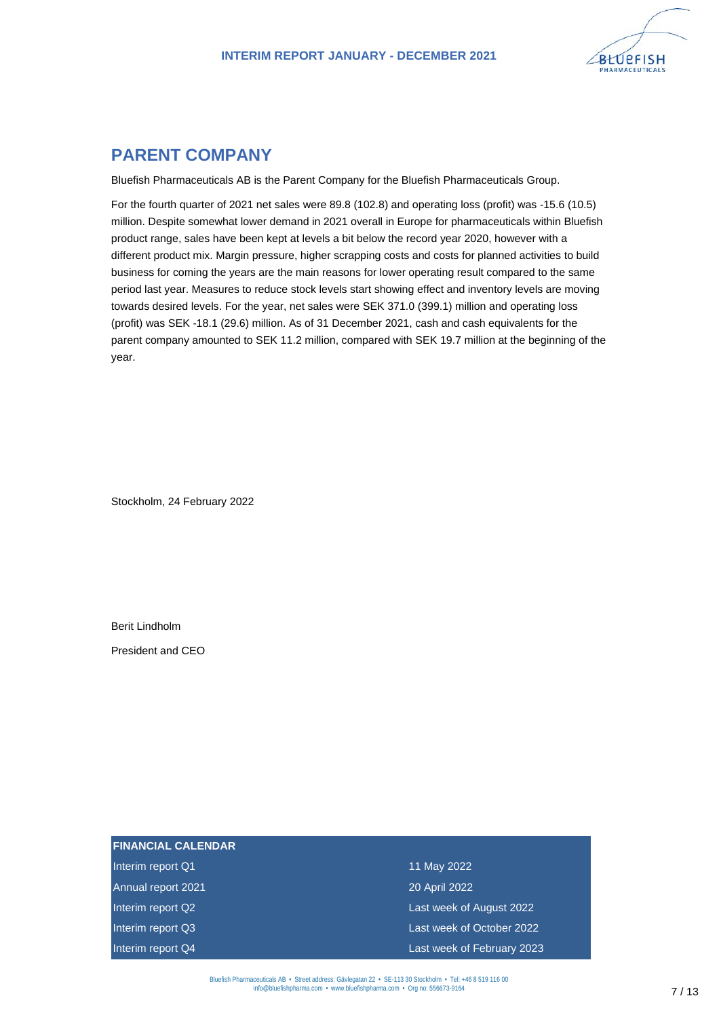

## **PARENT COMPANY**

Bluefish Pharmaceuticals AB is the Parent Company for the Bluefish Pharmaceuticals Group.

For the fourth quarter of 2021 net sales were 89.8 (102.8) and operating loss (profit) was -15.6 (10.5) million. Despite somewhat lower demand in 2021 overall in Europe for pharmaceuticals within Bluefish product range, sales have been kept at levels a bit below the record year 2020, however with a different product mix. Margin pressure, higher scrapping costs and costs for planned activities to build business for coming the years are the main reasons for lower operating result compared to the same period last year. Measures to reduce stock levels start showing effect and inventory levels are moving towards desired levels. For the year, net sales were SEK 371.0 (399.1) million and operating loss (profit) was SEK -18.1 (29.6) million. As of 31 December 2021, cash and cash equivalents for the parent company amounted to SEK 11.2 million, compared with SEK 19.7 million at the beginning of the year.

Stockholm, 24 February 2022

Berit Lindholm

President and CEO

| <b>FINANCIAL CALENDAR</b> |                            |
|---------------------------|----------------------------|
| Interim report Q1         | 11 May 2022                |
| Annual report 2021        | 20 April 2022              |
| Interim report Q2         | Last week of August 2022   |
| Interim report Q3         | Last week of October 2022  |
| Interim report Q4         | Last week of February 2023 |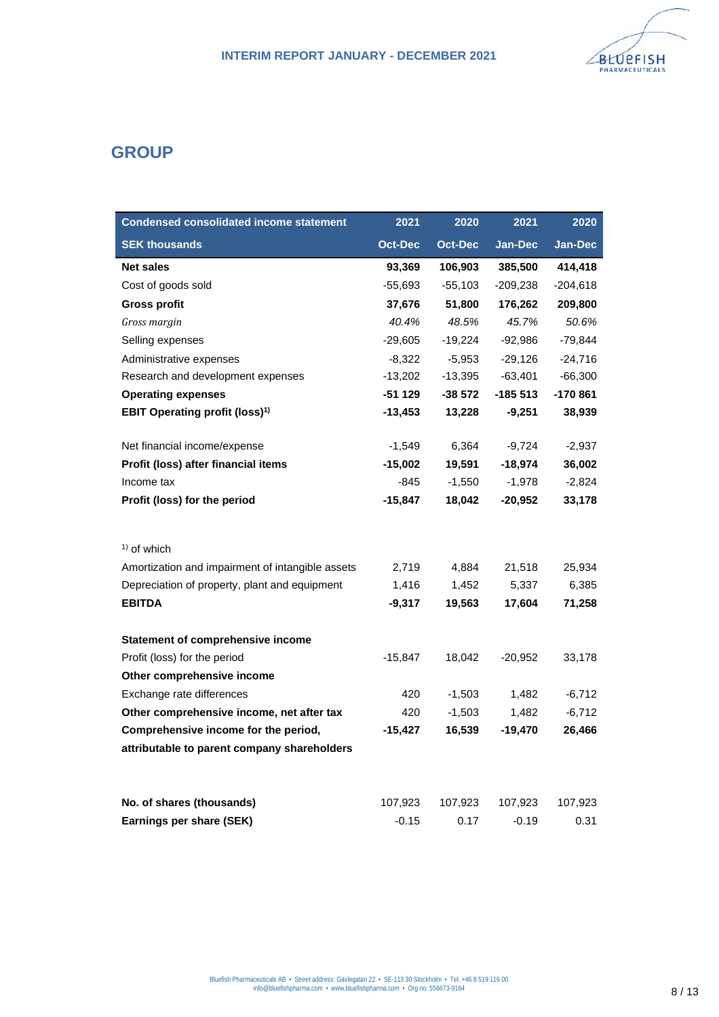

## **GROUP**

| <b>Condensed consolidated income statement</b>   | 2021           | 2020      | 2021       | 2020           |
|--------------------------------------------------|----------------|-----------|------------|----------------|
| <b>SEK thousands</b>                             | <b>Oct-Dec</b> | Oct-Dec   | Jan-Dec    | <b>Jan-Dec</b> |
| <b>Net sales</b>                                 | 93,369         | 106,903   | 385,500    | 414,418        |
| Cost of goods sold                               | -55,693        | $-55,103$ | $-209,238$ | $-204,618$     |
| <b>Gross profit</b>                              | 37,676         | 51,800    | 176,262    | 209,800        |
| Gross margin                                     | 40.4%          | 48.5%     | 45.7%      | 50.6%          |
| Selling expenses                                 | $-29,605$      | $-19,224$ | $-92,986$  | $-79,844$      |
| Administrative expenses                          | $-8,322$       | $-5,953$  | $-29,126$  | $-24,716$      |
| Research and development expenses                | $-13,202$      | $-13,395$ | $-63,401$  | $-66,300$      |
| <b>Operating expenses</b>                        | $-51129$       | -38 572   | $-185513$  | -170 861       |
| <b>EBIT Operating profit (loss)<sup>1)</sup></b> | $-13,453$      | 13,228    | $-9,251$   | 38,939         |
| Net financial income/expense                     | $-1,549$       | 6,364     | $-9,724$   | $-2,937$       |
| Profit (loss) after financial items              | $-15,002$      | 19,591    | $-18,974$  | 36,002         |
| Income tax                                       | -845           | $-1,550$  | $-1,978$   | $-2,824$       |
| Profit (loss) for the period                     | -15,847        | 18,042    | -20,952    | 33,178         |
|                                                  |                |           |            |                |
| $1$ of which                                     |                |           |            |                |
| Amortization and impairment of intangible assets | 2,719          | 4,884     | 21,518     | 25,934         |
| Depreciation of property, plant and equipment    | 1,416          | 1,452     | 5,337      | 6,385          |
| <b>EBITDA</b>                                    | -9,317         | 19,563    | 17,604     | 71,258         |
| Statement of comprehensive income                |                |           |            |                |
| Profit (loss) for the period                     | $-15,847$      | 18,042    | $-20,952$  | 33,178         |
| Other comprehensive income                       |                |           |            |                |
| Exchange rate differences                        | 420            | $-1,503$  | 1,482      | $-6,712$       |
| Other comprehensive income, net after tax        | 420            | $-1,503$  | 1,482      | $-6,712$       |
| Comprehensive income for the period,             | -15,427        | 16,539    | $-19,470$  | 26,466         |
| attributable to parent company shareholders      |                |           |            |                |
| No. of shares (thousands)                        | 107,923        | 107,923   | 107,923    | 107,923        |
| Earnings per share (SEK)                         | $-0.15$        | 0.17      | $-0.19$    | 0.31           |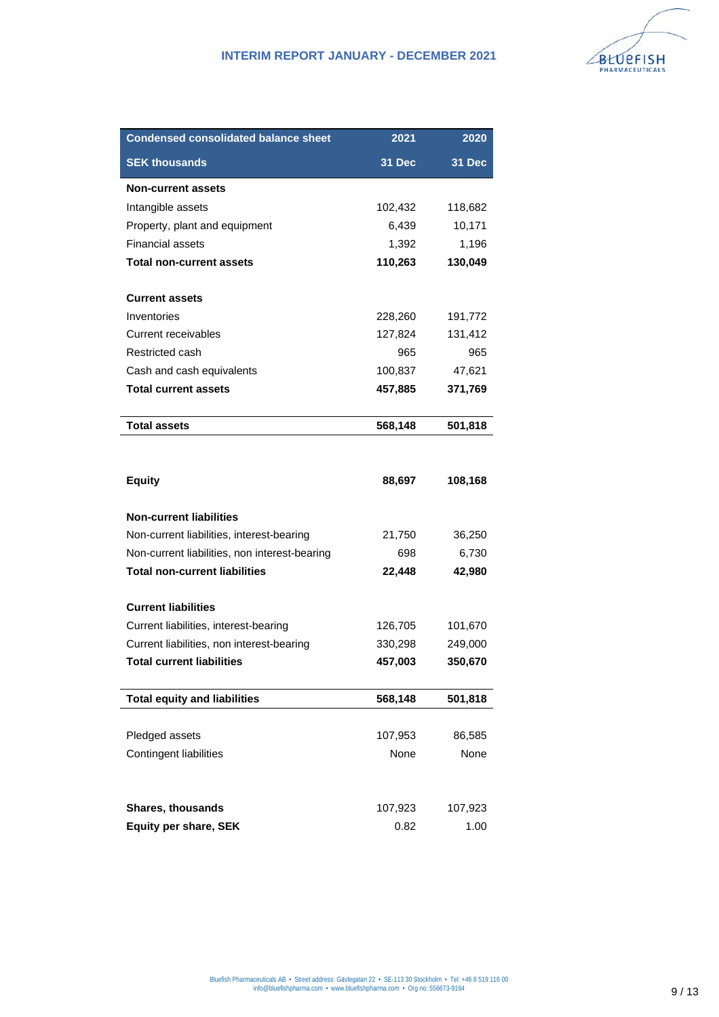| <b>Condensed consolidated balance sheet</b>              | 2021            | 2020            |
|----------------------------------------------------------|-----------------|-----------------|
| <b>SEK thousands</b>                                     | 31 Dec          | 31 Dec          |
| <b>Non-current assets</b>                                |                 |                 |
| Intangible assets                                        | 102,432         | 118,682         |
| Property, plant and equipment                            | 6,439           | 10,171          |
| <b>Financial assets</b>                                  | 1,392           | 1,196           |
| <b>Total non-current assets</b>                          | 110,263         | 130,049         |
| <b>Current assets</b>                                    |                 |                 |
| Inventories                                              | 228,260         | 191,772         |
| Current receivables                                      | 127,824         | 131,412         |
| Restricted cash                                          | 965             | 965             |
| Cash and cash equivalents                                | 100,837         | 47,621          |
| <b>Total current assets</b>                              | 457,885         | 371,769         |
| <b>Total assets</b>                                      | 568,148         | 501,818         |
|                                                          |                 |                 |
| <b>Equity</b>                                            | 88,697          | 108,168         |
| <b>Non-current liabilities</b>                           |                 |                 |
| Non-current liabilities, interest-bearing                | 21,750          | 36,250          |
| Non-current liabilities, non interest-bearing            | 698             | 6,730           |
| <b>Total non-current liabilities</b>                     | 22,448          | 42,980          |
| <b>Current liabilities</b>                               |                 |                 |
| Current liabilities, interest-bearing                    | 126,705         | 101,670         |
| Current liabilities, non interest-bearing                | 330,298         | 249,000         |
| <b>Total current liabilities</b>                         | 457,003         | 350,670         |
| <b>Total equity and liabilities</b>                      | 568,148         | 501,818         |
|                                                          |                 |                 |
| Pledged assets                                           | 107,953         | 86,585          |
| Contingent liabilities                                   | None            | None            |
|                                                          |                 |                 |
| <b>Shares, thousands</b><br><b>Equity per share, SEK</b> | 107,923<br>0.82 | 107,923<br>1.00 |
|                                                          |                 |                 |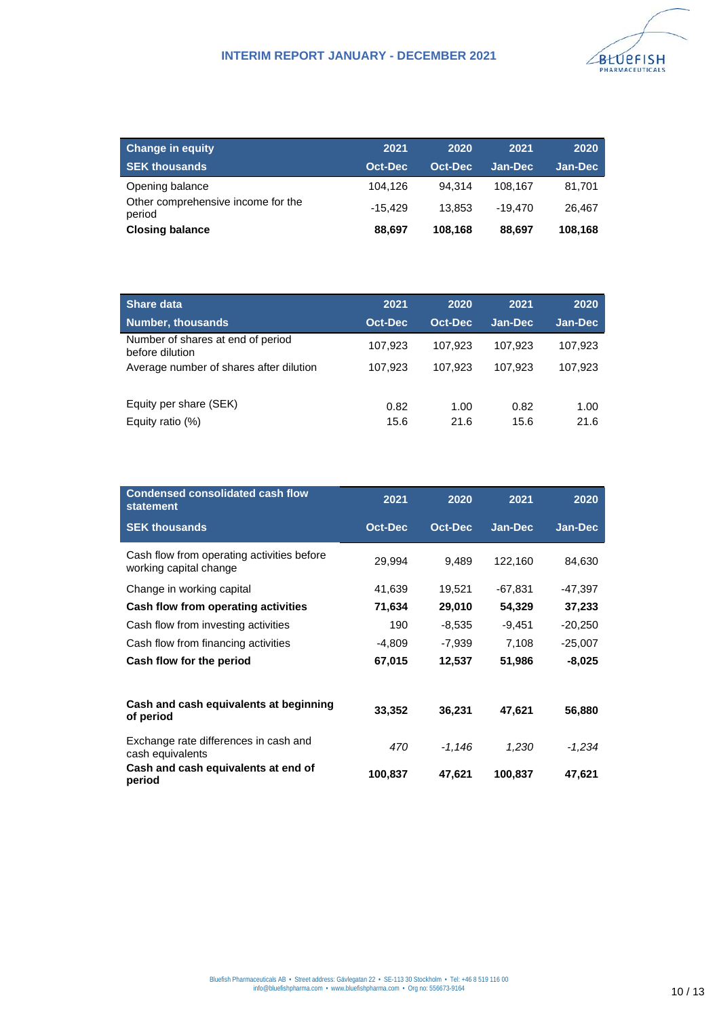

| <b>Change in equity</b>                      | 2021      | 2020    | 2021      | 2020           |
|----------------------------------------------|-----------|---------|-----------|----------------|
| <b>SEK thousands</b>                         | Oct-Dec   | Oct-Dec | Jan-Dec   | <b>Jan-Dec</b> |
| Opening balance                              | 104.126   | 94.314  | 108.167   | 81.701         |
| Other comprehensive income for the<br>period | $-15.429$ | 13.853  | $-19.470$ | 26.467         |
| <b>Closing balance</b>                       | 88.697    | 108.168 | 88.697    | 108.168        |

| Share data                                           | 2021    | 2020    | 2021    | 2020    |
|------------------------------------------------------|---------|---------|---------|---------|
| <b>Number, thousands</b>                             | Oct-Dec | Oct-Dec | Jan-Dec | Jan-Dec |
| Number of shares at end of period<br>before dilution | 107,923 | 107.923 | 107,923 | 107,923 |
| Average number of shares after dilution              | 107.923 | 107.923 | 107.923 | 107.923 |
|                                                      |         |         |         |         |
| Equity per share (SEK)                               | 0.82    | 1.00    | 0.82    | 1.00    |
| Equity ratio $(\%)$                                  | 15.6    | 21.6    | 15.6    | 21.6    |

| <b>Condensed consolidated cash flow</b><br><b>statement</b>          | 2021           | 2020           | 2021     | 2020           |
|----------------------------------------------------------------------|----------------|----------------|----------|----------------|
| <b>SEK thousands</b>                                                 | <b>Oct-Dec</b> | <b>Oct-Dec</b> | Jan-Dec  | <b>Jan-Dec</b> |
| Cash flow from operating activities before<br>working capital change | 29,994         | 9,489          | 122,160  | 84,630         |
| Change in working capital                                            | 41,639         | 19,521         | -67,831  | -47,397        |
| Cash flow from operating activities                                  | 71,634         | 29,010         | 54,329   | 37,233         |
| Cash flow from investing activities                                  | 190            | $-8,535$       | $-9,451$ | $-20,250$      |
| Cash flow from financing activities                                  | $-4,809$       | $-7,939$       | 7,108    | $-25,007$      |
| Cash flow for the period                                             | 67,015         | 12,537         | 51,986   | $-8,025$       |
| Cash and cash equivalents at beginning<br>of period                  | 33,352         | 36,231         | 47,621   | 56,880         |
| Exchange rate differences in cash and<br>cash equivalents            | 470            | -1,146         | 1,230    | -1,234         |
| Cash and cash equivalents at end of<br>period                        | 100,837        | 47,621         | 100,837  | 47,621         |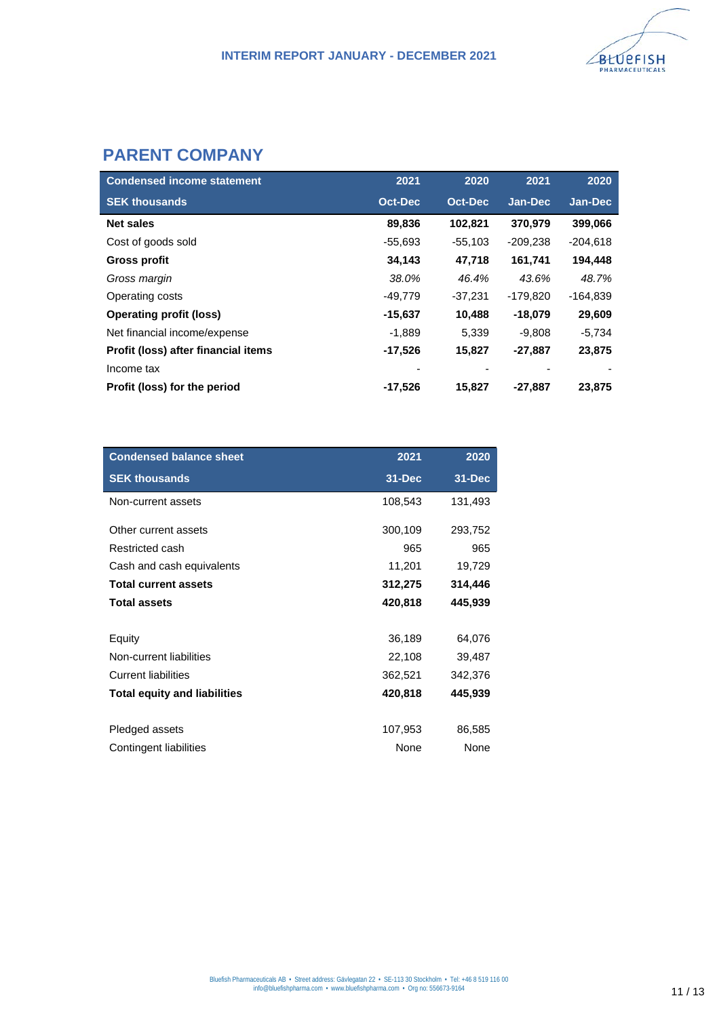

# **PARENT COMPANY**

| <b>Condensed income statement</b>   | 2021           | 2020      | 2021       | 2020       |
|-------------------------------------|----------------|-----------|------------|------------|
| <b>SEK thousands</b>                | <b>Oct-Dec</b> | Oct-Dec   | Jan-Dec    | Jan-Dec    |
| <b>Net sales</b>                    | 89,836         | 102,821   | 370,979    | 399,066    |
| Cost of goods sold                  | $-55,693$      | $-55,103$ | $-209,238$ | $-204,618$ |
| Gross profit                        | 34,143         | 47,718    | 161,741    | 194,448    |
| Gross margin                        | 38.0%          | 46.4%     | 43.6%      | 48.7%      |
| Operating costs                     | -49,779        | $-37,231$ | $-179,820$ | -164,839   |
| <b>Operating profit (loss)</b>      | $-15,637$      | 10,488    | $-18,079$  | 29,609     |
| Net financial income/expense        | $-1,889$       | 5,339     | $-9,808$   | $-5,734$   |
| Profit (loss) after financial items | $-17,526$      | 15,827    | $-27,887$  | 23,875     |
| Income tax                          |                |           |            |            |
| Profit (loss) for the period        | $-17,526$      | 15,827    | $-27,887$  | 23,875     |

| <b>Condensed balance sheet</b>      | 2021       | 2020    |
|-------------------------------------|------------|---------|
| <b>SEK thousands</b>                | $31 - Dec$ | 31-Dec  |
| Non-current assets                  | 108,543    | 131,493 |
| Other current assets                | 300,109    | 293,752 |
| Restricted cash                     | 965        | 965     |
| Cash and cash equivalents           | 11,201     | 19,729  |
| <b>Total current assets</b>         | 312,275    | 314,446 |
| <b>Total assets</b>                 | 420,818    | 445,939 |
|                                     |            |         |
| Equity                              | 36,189     | 64,076  |
| Non-current liabilities             | 22,108     | 39,487  |
| <b>Current liabilities</b>          | 362,521    | 342,376 |
| <b>Total equity and liabilities</b> | 420,818    | 445,939 |
|                                     |            |         |
| Pledged assets                      | 107,953    | 86,585  |
| Contingent liabilities              | None       | None    |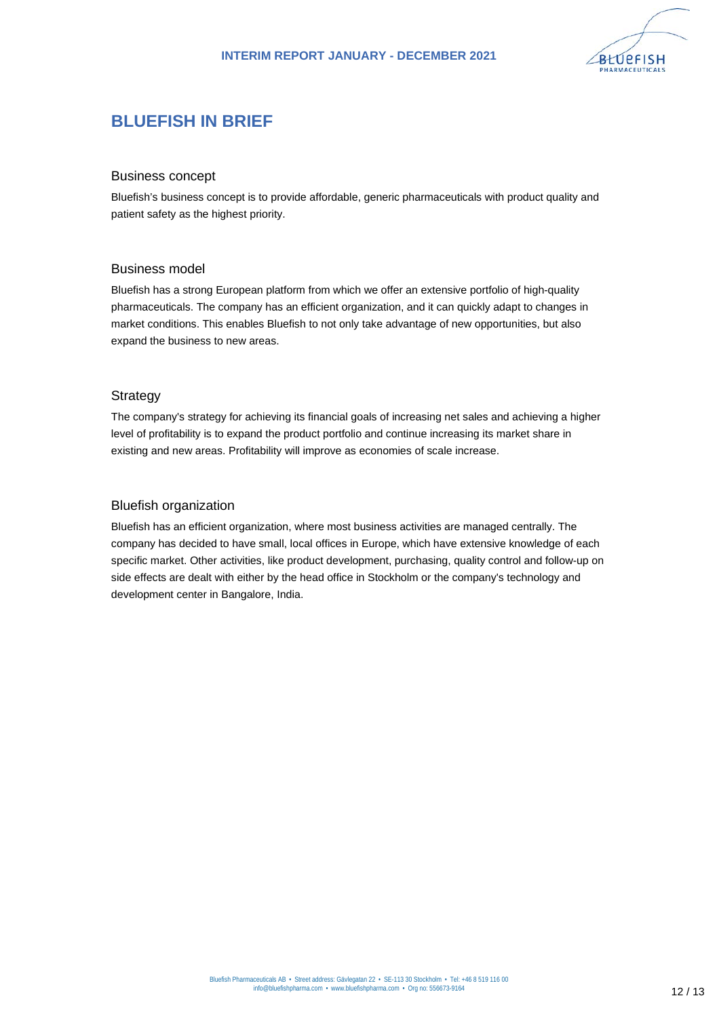

# **BLUEFISH IN BRIEF**

#### Business concept

Bluefish's business concept is to provide affordable, generic pharmaceuticals with product quality and patient safety as the highest priority.

#### Business model

Bluefish has a strong European platform from which we offer an extensive portfolio of high-quality pharmaceuticals. The company has an efficient organization, and it can quickly adapt to changes in market conditions. This enables Bluefish to not only take advantage of new opportunities, but also expand the business to new areas.

#### **Strategy**

The company's strategy for achieving its financial goals of increasing net sales and achieving a higher level of profitability is to expand the product portfolio and continue increasing its market share in existing and new areas. Profitability will improve as economies of scale increase.

#### Bluefish organization

Bluefish has an efficient organization, where most business activities are managed centrally. The company has decided to have small, local offices in Europe, which have extensive knowledge of each specific market. Other activities, like product development, purchasing, quality control and follow-up on side effects are dealt with either by the head office in Stockholm or the company's technology and development center in Bangalore, India.